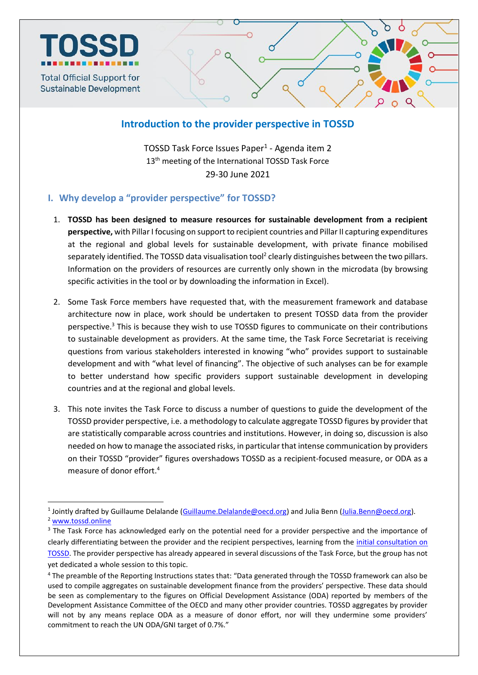

## **Introduction to the provider perspective in TOSSD**

TOSSD Task Force Issues Paper<sup>1</sup> - Agenda item 2 13<sup>th</sup> meeting of the International TOSSD Task Force 29-30 June 2021

## **I. Why develop a "provider perspective" for TOSSD?**

- 1. **TOSSD has been designed to measure resources for sustainable development from a recipient perspective,** with Pillar I focusing on support to recipient countries and Pillar II capturing expenditures at the regional and global levels for sustainable development, with private finance mobilised separately identified. The TOSSD data visualisation tool<sup>2</sup> clearly distinguishes between the two pillars. Information on the providers of resources are currently only shown in the microdata (by browsing specific activities in the tool or by downloading the information in Excel).
- 2. Some Task Force members have requested that, with the measurement framework and database architecture now in place, work should be undertaken to present TOSSD data from the provider perspective.<sup>3</sup> This is because they wish to use TOSSD figures to communicate on their contributions to sustainable development as providers. At the same time, the Task Force Secretariat is receiving questions from various stakeholders interested in knowing "who" provides support to sustainable development and with "what level of financing". The objective of such analyses can be for example to better understand how specific providers support sustainable development in developing countries and at the regional and global levels.
- 3. This note invites the Task Force to discuss a number of questions to guide the development of the TOSSD provider perspective, i.e. a methodology to calculate aggregate TOSSD figures by provider that are statistically comparable across countries and institutions. However, in doing so, discussion is also needed on how to manage the associated risks, in particular that intense communication by providers on their TOSSD "provider" figures overshadows TOSSD as a recipient-focused measure, or ODA as a measure of donor effort. 4

<sup>1</sup> <sup>1</sup> Jointly drafted by Guillaume Delalande (*Guillaume.Delalande@oecd.org*) and Julia Benn [\(Julia.Benn@oecd.org\)](mailto:Julia.Benn@oecd.org). <sup>2</sup> [www.tossd.online](http://www.tossd.online/)

<sup>&</sup>lt;sup>3</sup> The Task Force has acknowledged early on the potential need for a provider perspective and the importance of clearly differentiating between the provider and the recipient perspectives, learning from the [initial consultation on](http://www.oecd.org/dac/financing-sustainable-development/tossd-public-consultation.htm)  [TOSSD.](http://www.oecd.org/dac/financing-sustainable-development/tossd-public-consultation.htm) The provider perspective has already appeared in several discussions of the Task Force, but the group has not yet dedicated a whole session to this topic.

<sup>4</sup> The preamble of the Reporting Instructions states that: "Data generated through the TOSSD framework can also be used to compile aggregates on sustainable development finance from the providers' perspective. These data should be seen as complementary to the figures on Official Development Assistance (ODA) reported by members of the Development Assistance Committee of the OECD and many other provider countries. TOSSD aggregates by provider will not by any means replace ODA as a measure of donor effort, nor will they undermine some providers' commitment to reach the UN ODA/GNI target of 0.7%."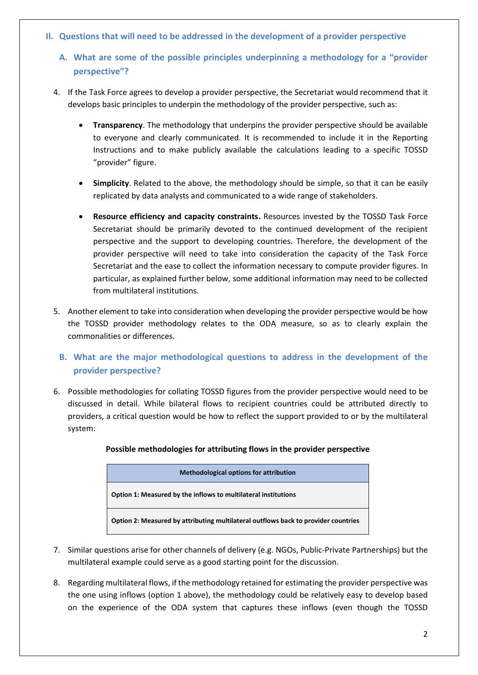- **II. Questions that will need to be addressed in the development of a provider perspective**
	- **A. What are some of the possible principles underpinning a methodology for a "provider perspective"?**
	- 4. If the Task Force agrees to develop a provider perspective, the Secretariat would recommend that it develops basic principles to underpin the methodology of the provider perspective, such as:
		- **Transparency**. The methodology that underpins the provider perspective should be available to everyone and clearly communicated. It is recommended to include it in the Reporting Instructions and to make publicly available the calculations leading to a specific TOSSD "provider" figure.
		- **Simplicity**. Related to the above, the methodology should be simple, so that it can be easily replicated by data analysts and communicated to a wide range of stakeholders.
		- **Resource efficiency and capacity constraints.** Resources invested by the TOSSD Task Force Secretariat should be primarily devoted to the continued development of the recipient perspective and the support to developing countries. Therefore, the development of the provider perspective will need to take into consideration the capacity of the Task Force Secretariat and the ease to collect the information necessary to compute provider figures. In particular, as explained further below, some additional information may need to be collected from multilateral institutions.
	- 5. Another element to take into consideration when developing the provider perspective would be how the TOSSD provider methodology relates to the ODA measure, so as to clearly explain the commonalities or differences.
		- **B. What are the major methodological questions to address in the development of the provider perspective?**
	- 6. Possible methodologies for collating TOSSD figures from the provider perspective would need to be discussed in detail. While bilateral flows to recipient countries could be attributed directly to providers, a critical question would be how to reflect the support provided to or by the multilateral system:

| <b>Methodological options for attribution</b>                                      |
|------------------------------------------------------------------------------------|
| Option 1: Measured by the inflows to multilateral institutions                     |
| Option 2: Measured by attributing multilateral outflows back to provider countries |

## **Possible methodologies for attributing flows in the provider perspective**

- 7. Similar questions arise for other channels of delivery (e.g. NGOs, Public-Private Partnerships) but the multilateral example could serve as a good starting point for the discussion.
- 8. Regarding multilateral flows, if the methodology retained for estimating the provider perspective was the one using inflows (option 1 above), the methodology could be relatively easy to develop based on the experience of the ODA system that captures these inflows (even though the TOSSD